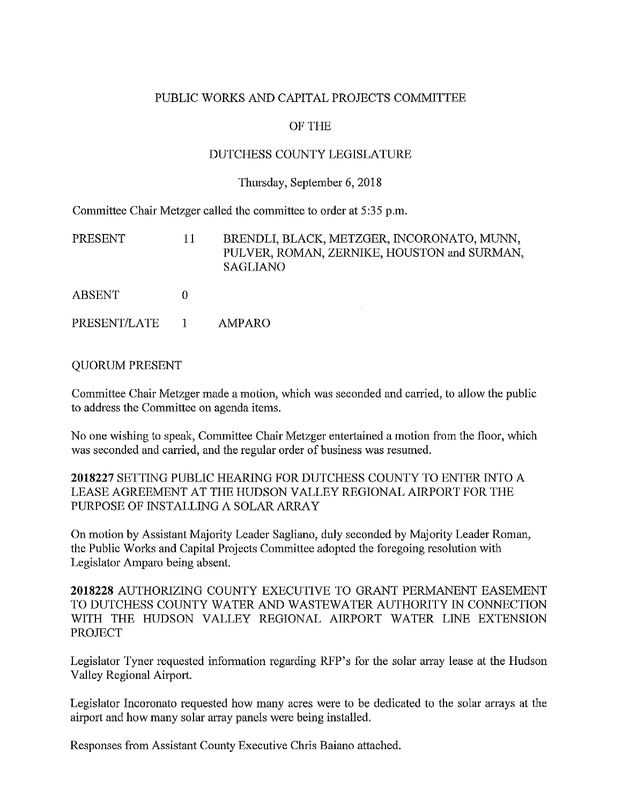#### PUBLIC WORKS AND CAPITAL PROJECTS COMMITTEE

### OF THE

#### DUTCHESS COUNTY LEGISLATURE

#### Thursday, September 6, 2018

Committee Chair Metzger called the committee to order at 5:35 p.m.

| PRESENT       | 11 | BRENDLI, BLACK, METZGER, INCORONATO, MUNN,<br>PULVER, ROMAN, ZERNIKE, HOUSTON and SURMAN,<br>SAGLIANO |
|---------------|----|-------------------------------------------------------------------------------------------------------|
| <b>ABSENT</b> |    |                                                                                                       |
| PRESENT/LATE  |    | AMPARO                                                                                                |

#### QUORUM PRESENT

Committee Chair Metzger made a motion, which was seconded and carried, to allow the public to address the Committee on agenda items.

No one wishing to speak, Committee Chair Metzger entertained a motion from the floor, which was seconded and carried, and the regular order of business was resumed.

2018227 SETTING PUBLIC HEARING FOR DUTCHESS COUNTY TO ENTER INTO A LEASE AGREEMENT AT THE HUDSON VALLEY REGIONAL AIRPORT FOR THE PURPOSE OF INSTALLING A SOLAR ARRAY

On motion by Assistant Majority Leader Sagliano, duly seconded by Majority Leader Roman, the Public Works and Capital Projects Committee adopted the foregoing resolution with Legislator Amparo being absent.

2018228 AUTHORIZING COUNTY EXECUTIVE TO GRANT PERMANENT EASEMENT TO DUTCHESS COUNTY WATER AND WASTEWATER AUTHORITY IN CONNECTION WITH THE HUDSON VALLEY REGIONAL AIRPORT WATER LINE EXTENSION PROJECT

Legislator Tyner requested information regarding RFP's for the solar array lease at the Hudson Valley Regional Airport.

Legislator Incoronato requested how many acres were to be dedicated to the solar arrays at the airport and how many solar array panels were being installed.

Responses from Assistant County Executive Chris Baiano attached.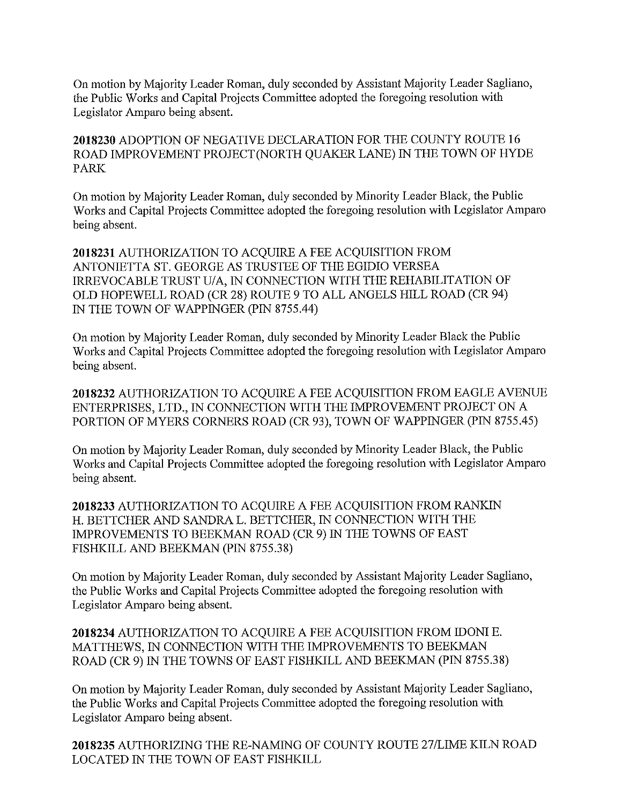On motion by Majority Leader Roman, duly seconded by Assistant Majority Leader Sagliano, the Public Works and Capital Projects Committee adopted the foregoing resolution with Legislator Amparo being absent.

2018230 ADOPTION OF NEGATIVE DECLARATION FOR THE COUNTY ROUTE 16 ROAD IMPROVEMENT PROJECT(NORTH QUAKER LANE) IN THE TOWN OF HYDE PARK

On motion by Majority Leader Roman, duly seconded by Minority Leader Black, the Public Works and Capital Projects Committee adopted the foregoing resolution with Legislator Amparo being absent.

2018231 AUTHORIZATION TO ACQUIRE A FEE ACQUISITION FROM ANTONIETTA ST. GEORGE AS TRUSTEE OF THE EGIDIO VERSEA IRREVOCABLE TRUST U/A, IN CONNECTION WITH THE REHABILITATION OF OLD HOPEWELL ROAD (CR 28) ROUTE 9 TO ALL ANGELS HILL ROAD (CR 94) IN THE TOWN OF WAPPINGER (PIN 8755.44)

On motion by Majority Leader Roman, duly seconded by Minority Leader Black the Public Works and Capital Projects Committee adopted the foregoing resolution with Legislator Amparo being absent.

2018232 AUTHORIZATION TO ACQUIRE A FEE ACQUISITION FROM EAGLE AVENUE ENTERPRISES, LTD., IN CONNECTION WITH THE IMPROVEMENT PROJECT ON A PORTION OF MYERS CORNERS ROAD (CR 93), TOWN OF WAPPINGER (PIN 8755.45)

On motion by Majority Leader Roman, duly seconded by Minority Leader Black, the Public Works and Capital Projects Committee adopted the foregoing resolution with Legislator Amparo being absent.

2018233 AUTHORIZATION TO ACQUIRE A FEE ACQUISITION FROM RANKIN H. BETTCHER AND SANDRA L. BETTCHER, IN CONNECTION WITH THE IMPROVEMENTS TO BEEKMAN ROAD (CR 9) IN THE TOWNS OF EAST FISHKILL AND BEEKMAN (PIN 8755.38)

On motion by Majority Leader Roman, duly seconded by Assistant Majority Leader Sagliano, the Public Works and Capital Projects Committee adopted the foregoing resolution with Legislator Amparo being absent.

2018234 AUTHORIZATION TO ACQUIRE A FEE ACQUISITION FROM IDONIE. MATTHEWS, IN CONNECTION WITH THE IMPROVEMENTS TO BEEKMAN ROAD (CR 9) IN THE TOWNS OF EAST FISHKILL AND BEEKMAN (PIN 8755.38)

On motion by Majority Leader Roman, duly seconded by Assistant Majority Leader Sagliano, the Public Works and Capital Projects Committee adopted the foregoing resolution with Legislator Amparo being absent.

2018235 AUTHORIZING THE RE-NAMING OF COUNTY ROUTE 27/LIME KILN ROAD LOCATED IN THE TOWN OF EAST FISHKILL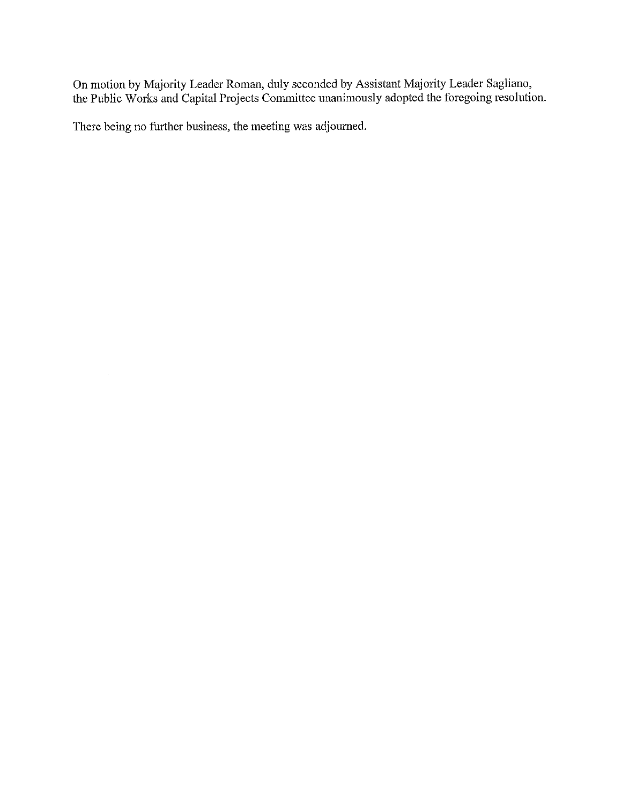On motion by Majority Leader Roman, duly seconded by Assistant Majority Leader Sagliano, the Public Works and Capital Projects Committee unanimously adopted the foregoing resolution.

There being no further business, the meeting was adjourned.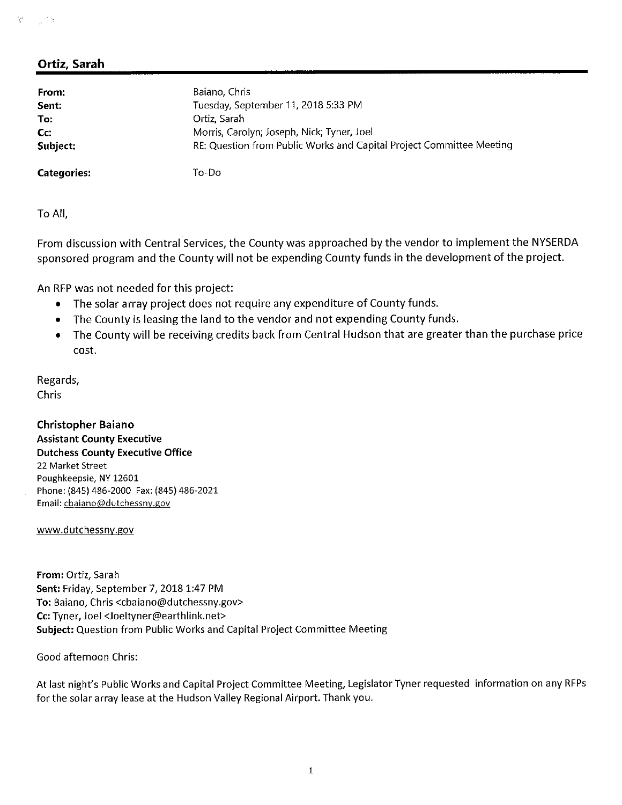#### *'r:*

## **Ortiz, Sarah**

| From:              | Baiano, Chris                                                        |
|--------------------|----------------------------------------------------------------------|
| Sent:              | Tuesday, September 11, 2018 5:33 PM                                  |
| To:                | Ortiz, Sarah                                                         |
| Cc:                | Morris, Carolyn; Joseph, Nick; Tyner, Joel                           |
| Subject:           | RE: Question from Public Works and Capital Project Committee Meeting |
| <b>Categories:</b> | To-Do                                                                |

To All,

From discussion with Central Services, the County was approached by the vendor to implement the NYSERDA sponsored program and the County will not be expending County funds in the development of the project.

An RFP was not needed for this project:

- •The solar array project does not require any expenditure of County funds.
- •The County is leasing the land to the vendor and not expending County funds.
- • The County will be receiving credits back from Central Fludson that are greater than the purchase price cost.

Regards, Chris

**Christopher Baiano Assistant County Executive Dutchess County Executive Office** 22 Market Street Poughkeepsie, NY 12601 Phone:(845) 486-2000 Fax: (845) 486-2021 Email: cbaiano@dutchessny.gov

www.dutchessny.gov

From: Ortiz, Sarah **Sent:** Friday,September **7, 2018 1:47 PM** To: Baiano, Chris <cbaiano@dutchessny.gov> **Cc:** Tyner, Joel <sup>&</sup>lt;Joeltyner@earthlink.net<sup>&</sup>gt; **Subject:**Question from Public Works and Capital Project Committee Meeting

Good afternoon Chris:

At last night's Public Works and Capital Project Committee Meeting, Legislator Tyner requested information on any RFPs for the solar array lease at the Hudson Valley Regional Airport.Thank you.